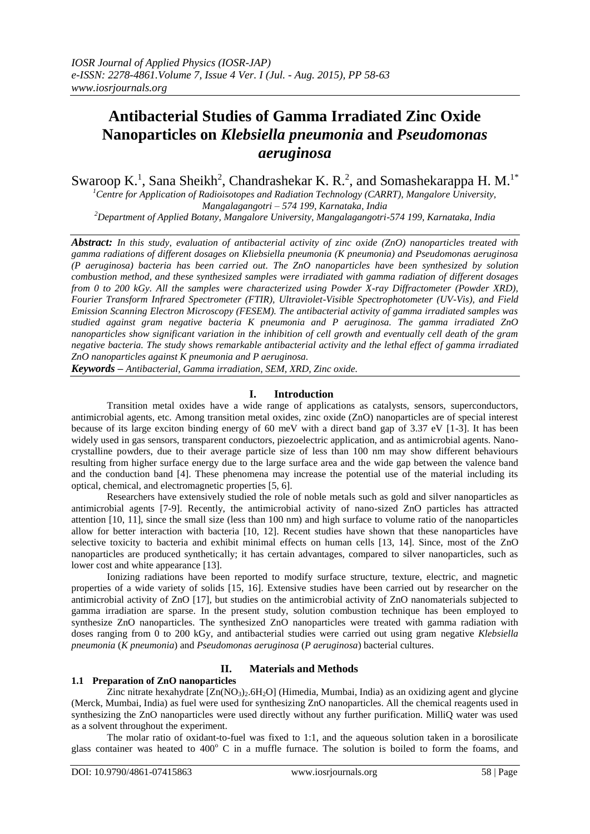# **Antibacterial Studies of Gamma Irradiated Zinc Oxide Nanoparticles on** *Klebsiella pneumonia* **and** *Pseudomonas aeruginosa*

Swaroop K.<sup>1</sup>, Sana Sheikh<sup>2</sup>, Chandrashekar K. R.<sup>2</sup>, and Somashekarappa H. M.<sup>1\*</sup>

*<sup>1</sup>Centre for Application of Radioisotopes and Radiation Technology (CARRT), Mangalore University, Mangalagangotri – 574 199, Karnataka, India*

*<sup>2</sup>Department of Applied Botany, Mangalore University, Mangalagangotri-574 199, Karnataka, India*

*Abstract: In this study, evaluation of antibacterial activity of zinc oxide (ZnO) nanoparticles treated with gamma radiations of different dosages on Kliebsiella pneumonia (K pneumonia) and Pseudomonas aeruginosa (P aeruginosa) bacteria has been carried out. The ZnO nanoparticles have been synthesized by solution combustion method, and these synthesized samples were irradiated with gamma radiation of different dosages from 0 to 200 kGy. All the samples were characterized using Powder X-ray Diffractometer (Powder XRD), Fourier Transform Infrared Spectrometer (FTIR), Ultraviolet-Visible Spectrophotometer (UV-Vis), and Field Emission Scanning Electron Microscopy (FESEM). The antibacterial activity of gamma irradiated samples was studied against gram negative bacteria K pneumonia and P aeruginosa. The gamma irradiated ZnO nanoparticles show significant variation in the inhibition of cell growth and eventually cell death of the gram negative bacteria. The study shows remarkable antibacterial activity and the lethal effect of gamma irradiated ZnO nanoparticles against K pneumonia and P aeruginosa.*

*Keywords – Antibacterial, Gamma irradiation, SEM, XRD, Zinc oxide.*

# **I. Introduction**

Transition metal oxides have a wide range of applications as catalysts, sensors, superconductors, antimicrobial agents, etc. Among transition metal oxides, zinc oxide (ZnO) nanoparticles are of special interest because of its large exciton binding energy of 60 meV with a direct band gap of 3.37 eV [1-3]. It has been widely used in gas sensors, transparent conductors, piezoelectric application, and as antimicrobial agents. Nanocrystalline powders, due to their average particle size of less than 100 nm may show different behaviours resulting from higher surface energy due to the large surface area and the wide gap between the valence band and the conduction band [4]. These phenomena may increase the potential use of the material including its optical, chemical, and electromagnetic properties [5, 6].

Researchers have extensively studied the role of noble metals such as gold and silver nanoparticles as antimicrobial agents [7-9]. Recently, the antimicrobial activity of nano-sized ZnO particles has attracted attention [10, 11], since the small size (less than 100 nm) and high surface to volume ratio of the nanoparticles allow for better interaction with bacteria [10, 12]. Recent studies have shown that these nanoparticles have selective toxicity to bacteria and exhibit minimal effects on human cells [13, 14]. Since, most of the ZnO nanoparticles are produced synthetically; it has certain advantages, compared to silver nanoparticles, such as lower cost and white appearance [13].

Ionizing radiations have been reported to modify surface structure, texture, electric, and magnetic properties of a wide variety of solids [15, 16]. Extensive studies have been carried out by researcher on the antimicrobial activity of ZnO [17], but studies on the antimicrobial activity of ZnO nanomaterials subjected to gamma irradiation are sparse. In the present study, solution combustion technique has been employed to synthesize ZnO nanoparticles. The synthesized ZnO nanoparticles were treated with gamma radiation with doses ranging from 0 to 200 kGy, and antibacterial studies were carried out using gram negative *Klebsiella pneumonia* (*K pneumonia*) and *Pseudomonas aeruginosa* (*P aeruginosa*) bacterial cultures.

# **II. Materials and Methods**

# **1.1 Preparation of ZnO nanoparticles**

Zinc nitrate hexahydrate  $[Zn(NO_3),6H_2O]$  (Himedia, Mumbai, India) as an oxidizing agent and glycine (Merck, Mumbai, India) as fuel were used for synthesizing ZnO nanoparticles. All the chemical reagents used in synthesizing the ZnO nanoparticles were used directly without any further purification. MilliQ water was used as a solvent throughout the experiment.

The molar ratio of oxidant-to-fuel was fixed to 1:1, and the aqueous solution taken in a borosilicate glass container was heated to  $400^{\circ}$  C in a muffle furnace. The solution is boiled to form the foams, and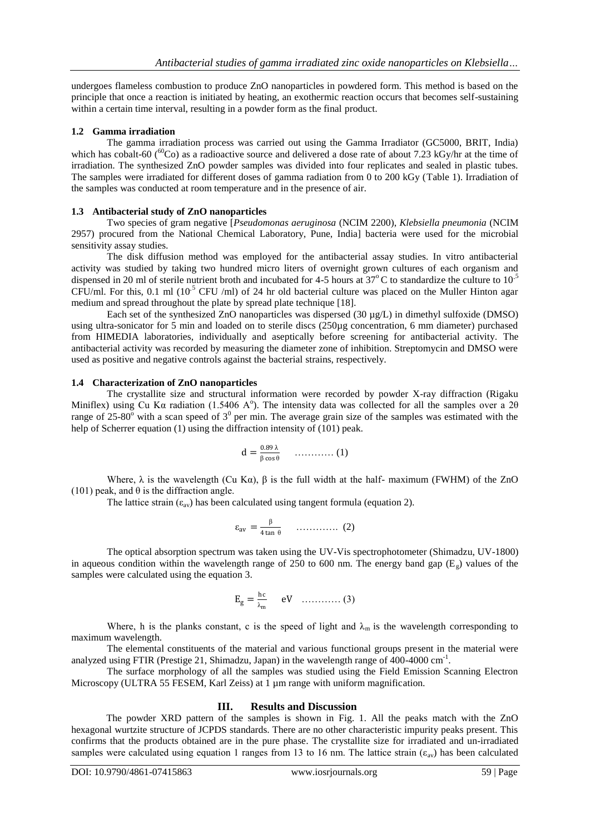undergoes flameless combustion to produce ZnO nanoparticles in powdered form. This method is based on the principle that once a reaction is initiated by heating, an exothermic reaction occurs that becomes self-sustaining within a certain time interval, resulting in a powder form as the final product.

### **1.2 Gamma irradiation**

The gamma irradiation process was carried out using the Gamma Irradiator (GC5000, BRIT, India) which has cobalt-60 ( ${}^{60}Co$ ) as a radioactive source and delivered a dose rate of about 7.23 kGy/hr at the time of irradiation. The synthesized ZnO powder samples was divided into four replicates and sealed in plastic tubes. The samples were irradiated for different doses of gamma radiation from 0 to 200 kGy (Table 1). Irradiation of the samples was conducted at room temperature and in the presence of air.

#### **1.3 Antibacterial study of ZnO nanoparticles**

Two species of gram negative [*Pseudomonas aeruginosa* (NCIM 2200), *Klebsiella pneumonia* (NCIM 2957) procured from the National Chemical Laboratory, Pune, India] bacteria were used for the microbial sensitivity assay studies.

The disk diffusion method was employed for the antibacterial assay studies. In vitro antibacterial activity was studied by taking two hundred micro liters of overnight grown cultures of each organism and dispensed in 20 ml of sterile nutrient broth and incubated for 4-5 hours at  $37^{\circ}$ C to standardize the culture to  $10^{-5}$ CFU/ml. For this, 0.1 ml ( $10^{-5}$  CFU/ml) of 24 hr old bacterial culture was placed on the Muller Hinton agar medium and spread throughout the plate by spread plate technique [18].

Each set of the synthesized ZnO nanoparticles was dispersed (30 µg/L) in dimethyl sulfoxide (DMSO) using ultra-sonicator for 5 min and loaded on to sterile discs (250µg concentration, 6 mm diameter) purchased from HIMEDIA laboratories, individually and aseptically before screening for antibacterial activity. The antibacterial activity was recorded by measuring the diameter zone of inhibition. Streptomycin and DMSO were used as positive and negative controls against the bacterial strains, respectively.

#### **1.4 Characterization of ZnO nanoparticles**

The crystallite size and structural information were recorded by powder X-ray diffraction (Rigaku Miniflex) using Cu Ka radiation (1.5406 A<sup>o</sup>). The intensity data was collected for all the samples over a 20 range of 25-80 $^{\circ}$  with a scan speed of  $3^{\circ}$  per min. The average grain size of the samples was estimated with the help of Scherrer equation (1) using the diffraction intensity of (101) peak.

$$
d = \frac{0.89 \lambda}{\beta \cos \theta} \qquad \qquad (1)
$$

Where,  $\lambda$  is the wavelength (Cu Ka),  $\beta$  is the full width at the half- maximum (FWHM) of the ZnO (101) peak, and  $\theta$  is the diffraction angle.

The lattice strain  $(\epsilon_{av})$  has been calculated using tangent formula (equation 2).

$$
\varepsilon_{\text{av}} = \frac{\beta}{4 \tan \theta} \qquad \dots \qquad (2)
$$

The optical absorption spectrum was taken using the UV-Vis spectrophotometer (Shimadzu, UV-1800) in aqueous condition within the wavelength range of 250 to 600 nm. The energy band gap  $(E_g)$  values of the samples were calculated using the equation 3.

$$
E_g = \frac{hc}{\lambda_m} \qquad eV \quad \ldots \ldots \ldots \ldots \quad (3)
$$

Where, h is the planks constant, c is the speed of light and  $\lambda_m$  is the wavelength corresponding to maximum wavelength.

The elemental constituents of the material and various functional groups present in the material were analyzed using FTIR (Prestige 21, Shimadzu, Japan) in the wavelength range of 400-4000 cm<sup>-1</sup>.

The surface morphology of all the samples was studied using the Field Emission Scanning Electron Microscopy (ULTRA 55 FESEM, Karl Zeiss) at 1 µm range with uniform magnification.

# **III. Results and Discussion**

The powder XRD pattern of the samples is shown in Fig. 1. All the peaks match with the ZnO hexagonal wurtzite structure of JCPDS standards. There are no other characteristic impurity peaks present. This confirms that the products obtained are in the pure phase. The crystallite size for irradiated and un-irradiated samples were calculated using equation 1 ranges from 13 to 16 nm. The lattice strain ( $\varepsilon_{av}$ ) has been calculated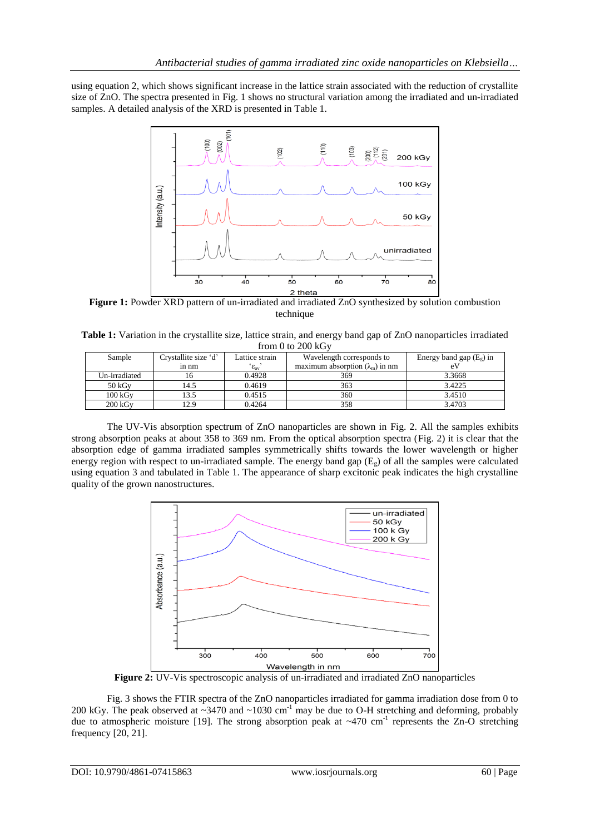using equation 2, which shows significant increase in the lattice strain associated with the reduction of crystallite size of ZnO. The spectra presented in Fig. 1 shows no structural variation among the irradiated and un-irradiated samples. A detailed analysis of the XRD is presented in Table 1.



**Figure 1:** Powder XRD pattern of un-irradiated and irradiated ZnO synthesized by solution combustion technique

**Table 1:** Variation in the crystallite size, lattice strain, and energy band gap of ZnO nanoparticles irradiated from 0 to 200 kGy

| Sample           | Crystallite size 'd' | Lattice strain      | Wavelength corresponds to              | Energy band gap $(E_e)$ in |
|------------------|----------------------|---------------------|----------------------------------------|----------------------------|
|                  | in nm                | $\epsilon_{\rm av}$ | maximum absorption $(\lambda_m)$ in nm | eV                         |
| Un-irradiated    | 16                   | 0.4928              | 369                                    | 3.3668                     |
| $50 \text{ kGy}$ | l 4.5                | 0.4619              | 363                                    | 3.4225                     |
| 100 kGv          | 13.5                 | 0.4515              | 360                                    | 3.4510                     |
| 200 kGv          | 12.9                 | 0.4264              | 358                                    | 3.4703                     |

The UV-Vis absorption spectrum of ZnO nanoparticles are shown in Fig. 2. All the samples exhibits strong absorption peaks at about 358 to 369 nm. From the optical absorption spectra (Fig. 2) it is clear that the absorption edge of gamma irradiated samples symmetrically shifts towards the lower wavelength or higher energy region with respect to un-irradiated sample. The energy band gap  $(E_{\varphi})$  of all the samples were calculated using equation 3 and tabulated in Table 1. The appearance of sharp excitonic peak indicates the high crystalline quality of the grown nanostructures.



**Figure 2:** UV-Vis spectroscopic analysis of un-irradiated and irradiated ZnO nanoparticles

Fig. 3 shows the FTIR spectra of the ZnO nanoparticles irradiated for gamma irradiation dose from 0 to 200 kGy. The peak observed at  $\sim$ 3470 and  $\sim$ 1030 cm<sup>-1</sup> may be due to O-H stretching and deforming, probably due to atmospheric moisture [19]. The strong absorption peak at  $~470$  cm<sup>-1</sup> represents the Zn-O stretching frequency [20, 21].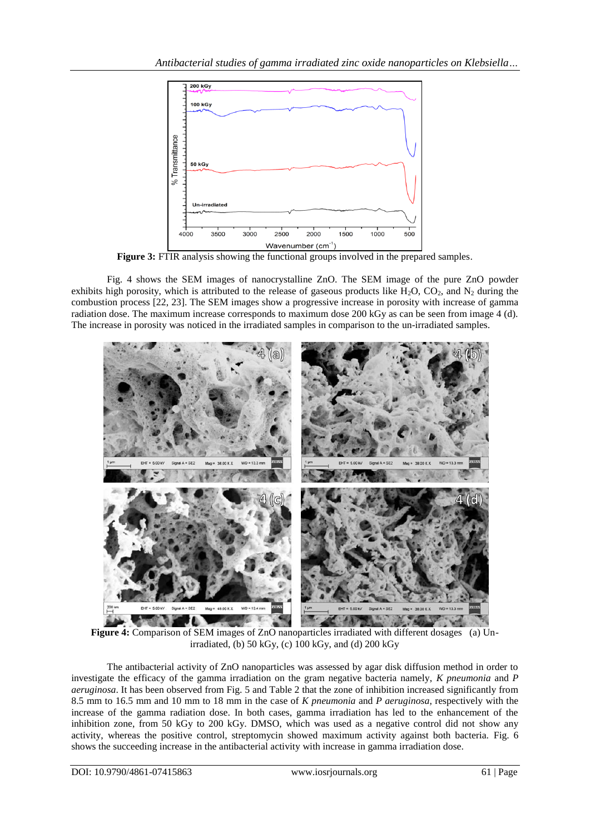

**Figure 3:** FTIR analysis showing the functional groups involved in the prepared samples.

Fig. 4 shows the SEM images of nanocrystalline ZnO. The SEM image of the pure ZnO powder exhibits high porosity, which is attributed to the release of gaseous products like H<sub>2</sub>O, CO<sub>2</sub>, and N<sub>2</sub> during the combustion process [22, 23]. The SEM images show a progressive increase in porosity with increase of gamma radiation dose. The maximum increase corresponds to maximum dose 200 kGy as can be seen from image 4 (d). The increase in porosity was noticed in the irradiated samples in comparison to the un-irradiated samples.



**Figure 4:** Comparison of SEM images of ZnO nanoparticles irradiated with different dosages (a) Unirradiated, (b) 50 kGy, (c) 100 kGy, and (d) 200 kGy

The antibacterial activity of ZnO nanoparticles was assessed by agar disk diffusion method in order to investigate the efficacy of the gamma irradiation on the gram negative bacteria namely, *K pneumonia* and *P aeruginosa*. It has been observed from Fig. 5 and Table 2 that the zone of inhibition increased significantly from 8.5 mm to 16.5 mm and 10 mm to 18 mm in the case of *K pneumonia* and *P aeruginosa*, respectively with the increase of the gamma radiation dose. In both cases, gamma irradiation has led to the enhancement of the inhibition zone, from 50 kGy to 200 kGy. DMSO, which was used as a negative control did not show any activity, whereas the positive control, streptomycin showed maximum activity against both bacteria. Fig. 6 shows the succeeding increase in the antibacterial activity with increase in gamma irradiation dose.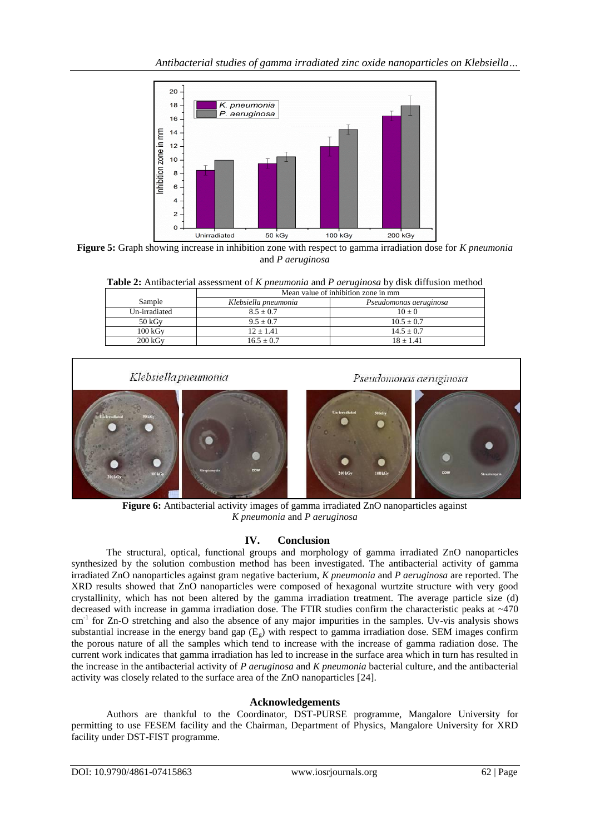

**Figure 5:** Graph showing increase in inhibition zone with respect to gamma irradiation dose for *K pneumonia* and *P aeruginosa*

|                  | Mean value of inhibition zone in mm |                        |  |
|------------------|-------------------------------------|------------------------|--|
| Sample           | Klebsiella pneumonia                | Pseudomonas aeruginosa |  |
| Un-irradiated    | $8.5 \pm 0.7$                       | $10 + 0$               |  |
| $50 \text{ kGv}$ | $9.5 + 0.7$                         | $10.5 + 0.7$           |  |
| 100 kGv          | $12 \pm 1.41$                       | $14.5 + 0.7$           |  |
| 200 kGv          | $16.5 + 0.7$                        | $18 + 1.41$            |  |



**Figure 6:** Antibacterial activity images of gamma irradiated ZnO nanoparticles against *K pneumonia* and *P aeruginosa*

# **IV. Conclusion**

The structural, optical, functional groups and morphology of gamma irradiated ZnO nanoparticles synthesized by the solution combustion method has been investigated. The antibacterial activity of gamma irradiated ZnO nanoparticles against gram negative bacterium, *K pneumonia* and *P aeruginosa* are reported. The XRD results showed that ZnO nanoparticles were composed of hexagonal wurtzite structure with very good crystallinity, which has not been altered by the gamma irradiation treatment. The average particle size (d) decreased with increase in gamma irradiation dose. The FTIR studies confirm the characteristic peaks at ~470 cm<sup>-1</sup> for Zn-O stretching and also the absence of any major impurities in the samples. Uv-vis analysis shows substantial increase in the energy band gap  $(E_g)$  with respect to gamma irradiation dose. SEM images confirm the porous nature of all the samples which tend to increase with the increase of gamma radiation dose. The current work indicates that gamma irradiation has led to increase in the surface area which in turn has resulted in the increase in the antibacterial activity of *P aeruginosa* and *K pneumonia* bacterial culture, and the antibacterial activity was closely related to the surface area of the ZnO nanoparticles [24].

# **Acknowledgements**

Authors are thankful to the Coordinator, DST-PURSE programme, Mangalore University for permitting to use FESEM facility and the Chairman, Department of Physics, Mangalore University for XRD facility under DST-FIST programme.